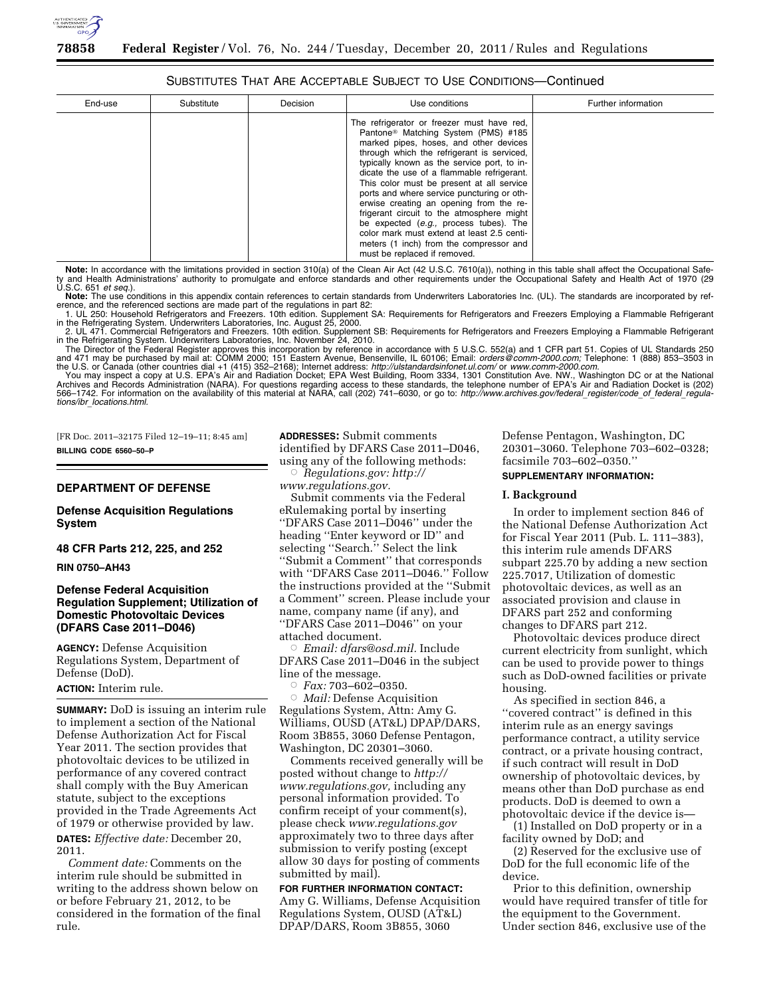

### SUBSTITUTES THAT ARE ACCEPTABLE SUBJECT TO USE CONDITIONS—Continued

| End-use | Substitute | Decision | Use conditions                                                                                                                                                                                                                                                                                                                                                                                                                                                                                                                                                                                                                           | Further information |
|---------|------------|----------|------------------------------------------------------------------------------------------------------------------------------------------------------------------------------------------------------------------------------------------------------------------------------------------------------------------------------------------------------------------------------------------------------------------------------------------------------------------------------------------------------------------------------------------------------------------------------------------------------------------------------------------|---------------------|
|         |            |          | The refrigerator or freezer must have red,<br>Pantone <sup>®</sup> Matching System (PMS) #185<br>marked pipes, hoses, and other devices<br>through which the refrigerant is serviced,<br>typically known as the service port, to in-<br>dicate the use of a flammable refrigerant.<br>This color must be present at all service<br>ports and where service puncturing or oth-<br>erwise creating an opening from the re-<br>frigerant circuit to the atmosphere might<br>be expected (e.g., process tubes). The<br>color mark must extend at least 2.5 centi-<br>meters (1 inch) from the compressor and<br>must be replaced if removed. |                     |

**Note:** In accordance with the limitations provided in section 310(a) of the Clean Air Act (42 U.S.C. 7610(a)), nothing in this table shall affect the Occupational Safeand Health Administrations' authority to promulgate and enforce standards and other requirements under the Occupational Safety and Health Act of 1970 (29

U.S.C. 651 *et seq.*). **Note:** The use conditions in this appendix contain references to certain standards from Underwriters Laboratories Inc. (UL). The standards are incorporated by reference, and the referenced sections are made part of the regulations in part 82:

1. UL 250: Household Refrigerators and Freezers. 10th edition. Supplement SA: Requirements for Refrigerators and Freezers Employing a Flammable Refrigerant<br>in the Refrigerating System. Underwriters Laboratories, Inc. Augus

2. UL 471. Commercial Refrigerators and Freezers. 10th edition. Supplement SB: Requirements for Refrigerators and Freezers Employing a Flammable Refrigerant in the Refrigerating System. Underwriters Laboratories, Inc. November 24, 2010.<br>The Director of the Federal Register approves this incorporation by reference in accordance with 5 U.S.C. 552(a) and 1 CFR part 51. Copies of

and 471 may be purchased by mail at: COMM 2000; 151 Eastern Avenue, Bensenville, IL 60106; Email: *orders@comm-2000.com;* Telephone: 1 (888) 853–3503 in<br>the U.S. or Canada (other countries dial +1 (415) 352–2168); Internet *tions/ibr*\_*[locations.html.](http://www.archives.gov/federal_register/code_of_federal_regula-tions/ibr_locations.html)* 

[FR Doc. 2011–32175 Filed 12–19–11; 8:45 am] **BILLING CODE 6560–50–P** 

### **DEPARTMENT OF DEFENSE**

**Defense Acquisition Regulations System** 

**48 CFR Parts 212, 225, and 252** 

**RIN 0750–AH43** 

# **Defense Federal Acquisition Regulation Supplement; Utilization of Domestic Photovoltaic Devices (DFARS Case 2011–D046)**

**AGENCY:** Defense Acquisition Regulations System, Department of Defense (DoD).

**ACTION:** Interim rule.

**SUMMARY:** DoD is issuing an interim rule to implement a section of the National Defense Authorization Act for Fiscal Year 2011. The section provides that photovoltaic devices to be utilized in performance of any covered contract shall comply with the Buy American statute, subject to the exceptions provided in the Trade Agreements Act of 1979 or otherwise provided by law.

**DATES:** *Effective date:* December 20, 2011.

*Comment date:* Comments on the interim rule should be submitted in writing to the address shown below on or before February 21, 2012, to be considered in the formation of the final rule.

**ADDRESSES:** Submit comments identified by DFARS Case 2011–D046, using any of the following methods:  $\circ$ 

 *Regulations.gov: [http://](http://www.regulations.gov)  [www.regulations.gov.](http://www.regulations.gov)* 

Submit comments via the Federal eRulemaking portal by inserting ''DFARS Case 2011–D046'' under the heading ''Enter keyword or ID'' and selecting ''Search.'' Select the link ''Submit a Comment'' that corresponds with ''DFARS Case 2011–D046.'' Follow the instructions provided at the ''Submit a Comment'' screen. Please include your name, company name (if any), and ''DFARS Case 2011–D046'' on your attached document.

Æ *Email: [dfars@osd.mil.](mailto:dfars@osd.mil)* Include DFARS Case 2011–D046 in the subject line of the message.

Æ*Fax:* 703–602–0350.

Æ *Mail:* Defense Acquisition Regulations System, Attn: Amy G. Williams, OUSD (AT&L) DPAP/DARS, Room 3B855, 3060 Defense Pentagon, Washington, DC 20301–3060.

Comments received generally will be posted without change to *[http://](http://www.regulations.gov) [www.regulations.gov,](http://www.regulations.gov)* including any personal information provided. To confirm receipt of your comment(s), please check *[www.regulations.gov](http://www.regulations.gov)*  approximately two to three days after submission to verify posting (except allow 30 days for posting of comments submitted by mail).

### **FOR FURTHER INFORMATION CONTACT:**

Amy G. Williams, Defense Acquisition Regulations System, OUSD (AT&L) DPAP/DARS, Room 3B855, 3060

Defense Pentagon, Washington, DC 20301–3060. Telephone 703–602–0328; facsimile 703–602–0350.''

# **SUPPLEMENTARY INFORMATION:**

#### **I. Background**

In order to implement section 846 of the National Defense Authorization Act for Fiscal Year 2011 (Pub. L. 111–383), this interim rule amends DFARS subpart 225.70 by adding a new section 225.7017, Utilization of domestic photovoltaic devices, as well as an associated provision and clause in DFARS part 252 and conforming changes to DFARS part 212.

Photovoltaic devices produce direct current electricity from sunlight, which can be used to provide power to things such as DoD-owned facilities or private housing.

As specified in section 846, a "covered contract" is defined in this interim rule as an energy savings performance contract, a utility service contract, or a private housing contract, if such contract will result in DoD ownership of photovoltaic devices, by means other than DoD purchase as end products. DoD is deemed to own a photovoltaic device if the device is—

(1) Installed on DoD property or in a facility owned by DoD; and

(2) Reserved for the exclusive use of DoD for the full economic life of the device.

Prior to this definition, ownership would have required transfer of title for the equipment to the Government. Under section 846, exclusive use of the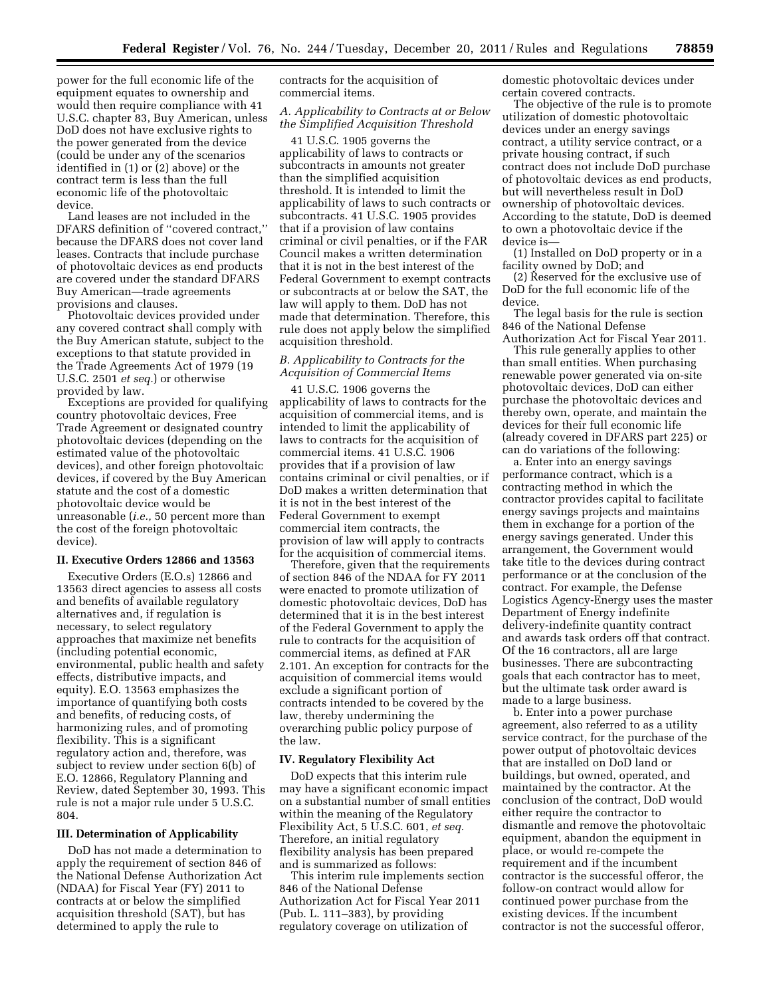power for the full economic life of the equipment equates to ownership and would then require compliance with 41 U.S.C. chapter 83, Buy American, unless DoD does not have exclusive rights to the power generated from the device (could be under any of the scenarios identified in (1) or (2) above) or the contract term is less than the full economic life of the photovoltaic device.

Land leases are not included in the DFARS definition of ''covered contract,'' because the DFARS does not cover land leases. Contracts that include purchase of photovoltaic devices as end products are covered under the standard DFARS Buy American—trade agreements provisions and clauses.

Photovoltaic devices provided under any covered contract shall comply with the Buy American statute, subject to the exceptions to that statute provided in the Trade Agreements Act of 1979 (19 U.S.C. 2501 *et seq.*) or otherwise provided by law.

Exceptions are provided for qualifying country photovoltaic devices, Free Trade Agreement or designated country photovoltaic devices (depending on the estimated value of the photovoltaic devices), and other foreign photovoltaic devices, if covered by the Buy American statute and the cost of a domestic photovoltaic device would be unreasonable (*i.e.,* 50 percent more than the cost of the foreign photovoltaic device).

#### **II. Executive Orders 12866 and 13563**

Executive Orders (E.O.s) 12866 and 13563 direct agencies to assess all costs and benefits of available regulatory alternatives and, if regulation is necessary, to select regulatory approaches that maximize net benefits (including potential economic, environmental, public health and safety effects, distributive impacts, and equity). E.O. 13563 emphasizes the importance of quantifying both costs and benefits, of reducing costs, of harmonizing rules, and of promoting flexibility. This is a significant regulatory action and, therefore, was subject to review under section 6(b) of E.O. 12866, Regulatory Planning and Review, dated September 30, 1993. This rule is not a major rule under 5 U.S.C. 804.

### **III. Determination of Applicability**

DoD has not made a determination to apply the requirement of section 846 of the National Defense Authorization Act (NDAA) for Fiscal Year (FY) 2011 to contracts at or below the simplified acquisition threshold (SAT), but has determined to apply the rule to

contracts for the acquisition of commercial items.

## *A. Applicability to Contracts at or Below the Simplified Acquisition Threshold*

41 U.S.C. 1905 governs the applicability of laws to contracts or subcontracts in amounts not greater than the simplified acquisition threshold. It is intended to limit the applicability of laws to such contracts or subcontracts. 41 U.S.C. 1905 provides that if a provision of law contains criminal or civil penalties, or if the FAR Council makes a written determination that it is not in the best interest of the Federal Government to exempt contracts or subcontracts at or below the SAT, the law will apply to them. DoD has not made that determination. Therefore, this rule does not apply below the simplified acquisition threshold.

# *B. Applicability to Contracts for the Acquisition of Commercial Items*

41 U.S.C. 1906 governs the applicability of laws to contracts for the acquisition of commercial items, and is intended to limit the applicability of laws to contracts for the acquisition of commercial items. 41 U.S.C. 1906 provides that if a provision of law contains criminal or civil penalties, or if DoD makes a written determination that it is not in the best interest of the Federal Government to exempt commercial item contracts, the provision of law will apply to contracts for the acquisition of commercial items.

Therefore, given that the requirements of section 846 of the NDAA for FY 2011 were enacted to promote utilization of domestic photovoltaic devices, DoD has determined that it is in the best interest of the Federal Government to apply the rule to contracts for the acquisition of commercial items, as defined at FAR 2.101. An exception for contracts for the acquisition of commercial items would exclude a significant portion of contracts intended to be covered by the law, thereby undermining the overarching public policy purpose of the law.

### **IV. Regulatory Flexibility Act**

DoD expects that this interim rule may have a significant economic impact on a substantial number of small entities within the meaning of the Regulatory Flexibility Act, 5 U.S.C. 601, *et seq.*  Therefore, an initial regulatory flexibility analysis has been prepared and is summarized as follows:

This interim rule implements section 846 of the National Defense Authorization Act for Fiscal Year 2011 (Pub. L. 111–383), by providing regulatory coverage on utilization of

domestic photovoltaic devices under certain covered contracts.

The objective of the rule is to promote utilization of domestic photovoltaic devices under an energy savings contract, a utility service contract, or a private housing contract, if such contract does not include DoD purchase of photovoltaic devices as end products, but will nevertheless result in DoD ownership of photovoltaic devices. According to the statute, DoD is deemed to own a photovoltaic device if the device is—

(1) Installed on DoD property or in a facility owned by DoD; and

(2) Reserved for the exclusive use of DoD for the full economic life of the device.

The legal basis for the rule is section 846 of the National Defense

Authorization Act for Fiscal Year 2011. This rule generally applies to other than small entities. When purchasing renewable power generated via on-site photovoltaic devices, DoD can either purchase the photovoltaic devices and thereby own, operate, and maintain the devices for their full economic life (already covered in DFARS part 225) or can do variations of the following:

a. Enter into an energy savings performance contract, which is a contracting method in which the contractor provides capital to facilitate energy savings projects and maintains them in exchange for a portion of the energy savings generated. Under this arrangement, the Government would take title to the devices during contract performance or at the conclusion of the contract. For example, the Defense Logistics Agency-Energy uses the master Department of Energy indefinite delivery-indefinite quantity contract and awards task orders off that contract. Of the 16 contractors, all are large businesses. There are subcontracting goals that each contractor has to meet, but the ultimate task order award is made to a large business.

b. Enter into a power purchase agreement, also referred to as a utility service contract, for the purchase of the power output of photovoltaic devices that are installed on DoD land or buildings, but owned, operated, and maintained by the contractor. At the conclusion of the contract, DoD would either require the contractor to dismantle and remove the photovoltaic equipment, abandon the equipment in place, or would re-compete the requirement and if the incumbent contractor is the successful offeror, the follow-on contract would allow for continued power purchase from the existing devices. If the incumbent contractor is not the successful offeror,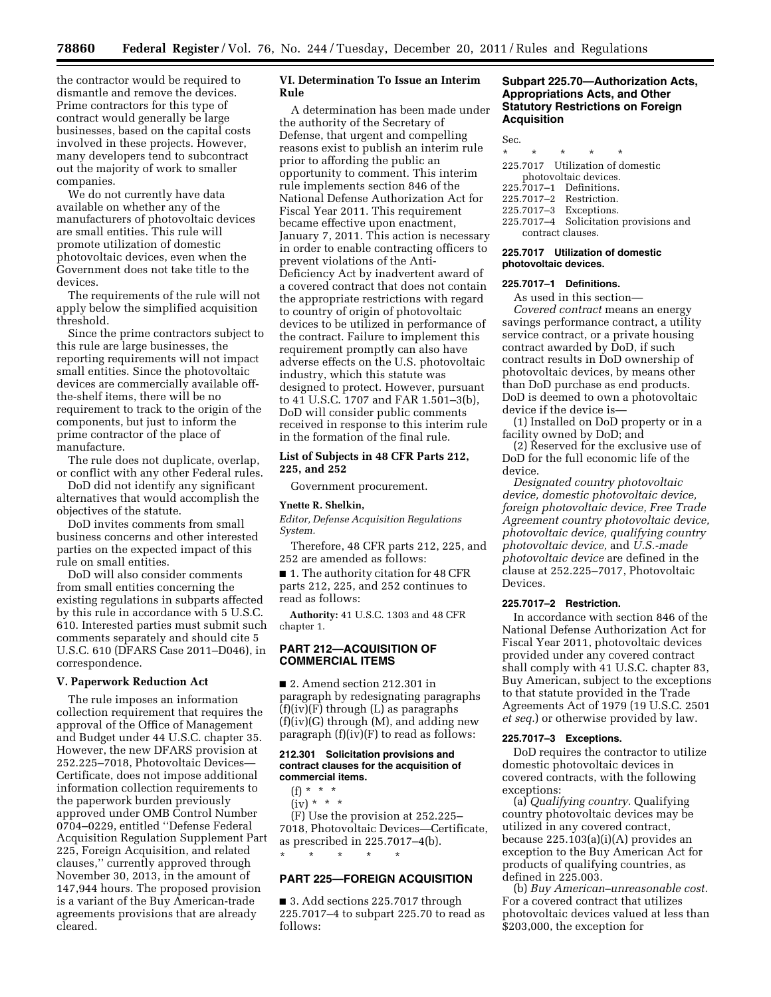the contractor would be required to dismantle and remove the devices. Prime contractors for this type of contract would generally be large businesses, based on the capital costs involved in these projects. However, many developers tend to subcontract out the majority of work to smaller companies.

We do not currently have data available on whether any of the manufacturers of photovoltaic devices are small entities. This rule will promote utilization of domestic photovoltaic devices, even when the Government does not take title to the devices.

The requirements of the rule will not apply below the simplified acquisition threshold.

Since the prime contractors subject to this rule are large businesses, the reporting requirements will not impact small entities. Since the photovoltaic devices are commercially available offthe-shelf items, there will be no requirement to track to the origin of the components, but just to inform the prime contractor of the place of manufacture.

The rule does not duplicate, overlap, or conflict with any other Federal rules.

DoD did not identify any significant alternatives that would accomplish the objectives of the statute.

DoD invites comments from small business concerns and other interested parties on the expected impact of this rule on small entities.

DoD will also consider comments from small entities concerning the existing regulations in subparts affected by this rule in accordance with 5 U.S.C. 610. Interested parties must submit such comments separately and should cite 5 U.S.C. 610 (DFARS Case 2011–D046), in correspondence.

### **V. Paperwork Reduction Act**

The rule imposes an information collection requirement that requires the approval of the Office of Management and Budget under 44 U.S.C. chapter 35. However, the new DFARS provision at 252.225–7018, Photovoltaic Devices— Certificate, does not impose additional information collection requirements to the paperwork burden previously approved under OMB Control Number 0704–0229, entitled ''Defense Federal Acquisition Regulation Supplement Part 225, Foreign Acquisition, and related clauses,'' currently approved through November 30, 2013, in the amount of 147,944 hours. The proposed provision is a variant of the Buy American-trade agreements provisions that are already cleared.

# **VI. Determination To Issue an Interim Rule**

A determination has been made under the authority of the Secretary of Defense, that urgent and compelling reasons exist to publish an interim rule prior to affording the public an opportunity to comment. This interim rule implements section 846 of the National Defense Authorization Act for Fiscal Year 2011. This requirement became effective upon enactment, January 7, 2011. This action is necessary in order to enable contracting officers to prevent violations of the Anti-Deficiency Act by inadvertent award of a covered contract that does not contain the appropriate restrictions with regard to country of origin of photovoltaic devices to be utilized in performance of the contract. Failure to implement this requirement promptly can also have adverse effects on the U.S. photovoltaic industry, which this statute was designed to protect. However, pursuant to 41 U.S.C. 1707 and FAR 1.501–3(b), DoD will consider public comments received in response to this interim rule in the formation of the final rule.

## **List of Subjects in 48 CFR Parts 212, 225, and 252**

Government procurement.

### **Ynette R. Shelkin,**

*Editor, Defense Acquisition Regulations System.* 

Therefore, 48 CFR parts 212, 225, and 252 are amended as follows:

■ 1. The authority citation for 48 CFR parts 212, 225, and 252 continues to read as follows:

**Authority:** 41 U.S.C. 1303 and 48 CFR chapter 1.

# **PART 212—ACQUISITION OF COMMERCIAL ITEMS**

■ 2. Amend section 212.301 in paragraph by redesignating paragraphs  $(f)(iv)(F)$  through  $(L)$  as paragraphs  $(f)(iv)(G)$  through  $(M)$ , and adding new paragraph (f)(iv)(F) to read as follows:

#### **212.301 Solicitation provisions and contract clauses for the acquisition of commercial items.**

 $(f) * * * *$ 

 $(iv) * * * *$ 

(F) Use the provision at 252.225– 7018, Photovoltaic Devices—Certificate, as prescribed in 225.7017–4(b). \* \* \* \* \*

# **PART 225—FOREIGN ACQUISITION**

■ 3. Add sections 225.7017 through 225.7017–4 to subpart 225.70 to read as follows:

## **Subpart 225.70—Authorization Acts, Appropriations Acts, and Other Statutory Restrictions on Foreign Acquisition**

Sec.

| ÷                           | ÷ | ÷ |  |                                        |  |  |  |
|-----------------------------|---|---|--|----------------------------------------|--|--|--|
|                             |   |   |  | 225.7017 Utilization of domestic       |  |  |  |
| photovoltaic devices.       |   |   |  |                                        |  |  |  |
| 225.7017-1 Definitions.     |   |   |  |                                        |  |  |  |
| $225.7017 - 2$ Restriction. |   |   |  |                                        |  |  |  |
| 225.7017-3 Exceptions.      |   |   |  |                                        |  |  |  |
|                             |   |   |  | 225.7017-4 Solicitation provisions and |  |  |  |
| contract clauses.           |   |   |  |                                        |  |  |  |
|                             |   |   |  |                                        |  |  |  |

#### **225.7017 Utilization of domestic photovoltaic devices.**

## **225.7017–1 Definitions.**

As used in this section— *Covered contract* means an energy savings performance contract, a utility service contract, or a private housing contract awarded by DoD, if such contract results in DoD ownership of photovoltaic devices, by means other than DoD purchase as end products. DoD is deemed to own a photovoltaic device if the device is—

(1) Installed on DoD property or in a facility owned by DoD; and

(2) Reserved for the exclusive use of DoD for the full economic life of the device.

*Designated country photovoltaic device, domestic photovoltaic device, foreign photovoltaic device, Free Trade Agreement country photovoltaic device, photovoltaic device, qualifying country photovoltaic device,* and *U.S.-made photovoltaic device* are defined in the clause at 252.225–7017, Photovoltaic Devices.

#### **225.7017–2 Restriction.**

In accordance with section 846 of the National Defense Authorization Act for Fiscal Year 2011, photovoltaic devices provided under any covered contract shall comply with 41 U.S.C. chapter 83, Buy American, subject to the exceptions to that statute provided in the Trade Agreements Act of 1979 (19 U.S.C. 2501 *et seq.*) or otherwise provided by law.

#### **225.7017–3 Exceptions.**

DoD requires the contractor to utilize domestic photovoltaic devices in covered contracts, with the following exceptions:

(a) *Qualifying country.* Qualifying country photovoltaic devices may be utilized in any covered contract, because 225.103(a)(i)(A) provides an exception to the Buy American Act for products of qualifying countries, as defined in 225.003.

(b) *Buy American–unreasonable cost.*  For a covered contract that utilizes photovoltaic devices valued at less than \$203,000, the exception for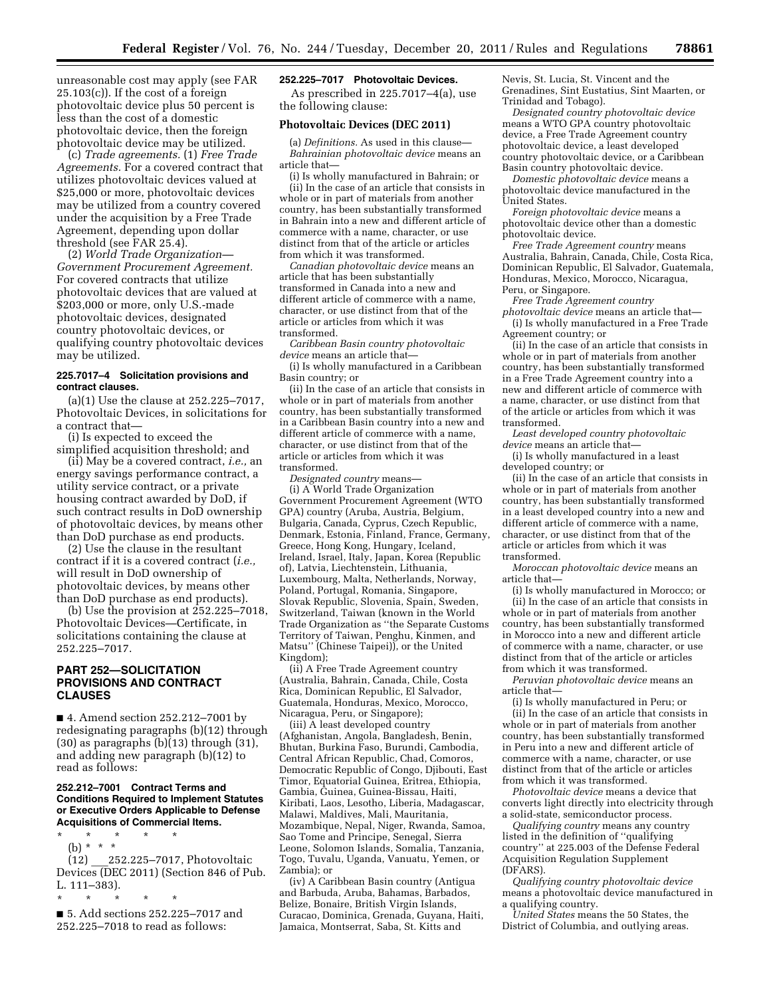unreasonable cost may apply (see FAR 25.103(c)). If the cost of a foreign photovoltaic device plus 50 percent is less than the cost of a domestic photovoltaic device, then the foreign photovoltaic device may be utilized.

(c) *Trade agreements.* (1) *Free Trade Agreements.* For a covered contract that utilizes photovoltaic devices valued at \$25,000 or more, photovoltaic devices may be utilized from a country covered under the acquisition by a Free Trade Agreement, depending upon dollar threshold (see FAR 25.4).

(2) *World Trade Organization— Government Procurement Agreement.*  For covered contracts that utilize photovoltaic devices that are valued at \$203,000 or more, only U.S.-made photovoltaic devices, designated country photovoltaic devices, or qualifying country photovoltaic devices may be utilized.

### **225.7017–4 Solicitation provisions and contract clauses.**

(a)(1) Use the clause at 252.225–7017, Photovoltaic Devices, in solicitations for a contract that—

(i) Is expected to exceed the simplified acquisition threshold; and

(ii) May be a covered contract, *i.e.,* an energy savings performance contract, a utility service contract, or a private housing contract awarded by DoD, if such contract results in DoD ownership of photovoltaic devices, by means other than DoD purchase as end products.

(2) Use the clause in the resultant contract if it is a covered contract (*i.e.,*  will result in DoD ownership of photovoltaic devices, by means other than DoD purchase as end products).

(b) Use the provision at  $252.225 - 7018$ , Photovoltaic Devices—Certificate, in solicitations containing the clause at 252.225–7017.

# **PART 252—SOLICITATION PROVISIONS AND CONTRACT CLAUSES**

■ 4. Amend section 252.212–7001 by redesignating paragraphs (b)(12) through (30) as paragraphs (b)(13) through (31), and adding new paragraph (b)(12) to read as follows:

## **252.212–7001 Contract Terms and Conditions Required to Implement Statutes or Executive Orders Applicable to Defense Acquisitions of Commercial Items.**

\* \* \* \* \*

(b) \* \* \* (12) \_\_\_252.225–7017, Photovoltaic Devices (DEC 2011) (Section 846 of Pub. L. 111–383).

\* \* \* \* \*

■ 5. Add sections 252.225-7017 and 252.225–7018 to read as follows:

# **252.225–7017 Photovoltaic Devices.**

As prescribed in 225.7017–4(a), use the following clause:

### **Photovoltaic Devices (DEC 2011)**

(a) *Definitions.* As used in this clause— *Bahrainian photovoltaic device* means an article that—

(i) Is wholly manufactured in Bahrain; or (ii) In the case of an article that consists in whole or in part of materials from another country, has been substantially transformed in Bahrain into a new and different article of commerce with a name, character, or use distinct from that of the article or articles from which it was transformed.

*Canadian photovoltaic device* means an article that has been substantially transformed in Canada into a new and different article of commerce with a name, character, or use distinct from that of the article or articles from which it was transformed.

*Caribbean Basin country photovoltaic device* means an article that—

(i) Is wholly manufactured in a Caribbean Basin country; or

(ii) In the case of an article that consists in whole or in part of materials from another country, has been substantially transformed in a Caribbean Basin country into a new and different article of commerce with a name, character, or use distinct from that of the article or articles from which it was transformed.

*Designated country* means— (i) A World Trade Organization Government Procurement Agreement (WTO GPA) country (Aruba, Austria, Belgium, Bulgaria, Canada, Cyprus, Czech Republic, Denmark, Estonia, Finland, France, Germany, Greece, Hong Kong, Hungary, Iceland, Ireland, Israel, Italy, Japan, Korea (Republic of), Latvia, Liechtenstein, Lithuania, Luxembourg, Malta, Netherlands, Norway, Poland, Portugal, Romania, Singapore, Slovak Republic, Slovenia, Spain, Sweden, Switzerland, Taiwan (known in the World Trade Organization as ''the Separate Customs Territory of Taiwan, Penghu, Kinmen, and Matsu'' (Chinese Taipei)), or the United Kingdom);

(ii) A Free Trade Agreement country (Australia, Bahrain, Canada, Chile, Costa Rica, Dominican Republic, El Salvador, Guatemala, Honduras, Mexico, Morocco, Nicaragua, Peru, or Singapore);

(iii) A least developed country (Afghanistan, Angola, Bangladesh, Benin, Bhutan, Burkina Faso, Burundi, Cambodia, Central African Republic, Chad, Comoros, Democratic Republic of Congo, Djibouti, East Timor, Equatorial Guinea, Eritrea, Ethiopia, Gambia, Guinea, Guinea-Bissau, Haiti, Kiribati, Laos, Lesotho, Liberia, Madagascar, Malawi, Maldives, Mali, Mauritania, Mozambique, Nepal, Niger, Rwanda, Samoa, Sao Tome and Principe, Senegal, Sierra Leone, Solomon Islands, Somalia, Tanzania, Togo, Tuvalu, Uganda, Vanuatu, Yemen, or Zambia); or

(iv) A Caribbean Basin country (Antigua and Barbuda, Aruba, Bahamas, Barbados, Belize, Bonaire, British Virgin Islands, Curacao, Dominica, Grenada, Guyana, Haiti, Jamaica, Montserrat, Saba, St. Kitts and

Nevis, St. Lucia, St. Vincent and the Grenadines, Sint Eustatius, Sint Maarten, or Trinidad and Tobago).

*Designated country photovoltaic device*  means a WTO GPA country photovoltaic device, a Free Trade Agreement country photovoltaic device, a least developed country photovoltaic device, or a Caribbean Basin country photovoltaic device.

*Domestic photovoltaic device* means a photovoltaic device manufactured in the United States.

*Foreign photovoltaic device* means a photovoltaic device other than a domestic photovoltaic device.

*Free Trade Agreement country* means Australia, Bahrain, Canada, Chile, Costa Rica, Dominican Republic, El Salvador, Guatemala, Honduras, Mexico, Morocco, Nicaragua, Peru, or Singapore.

*Free Trade Agreement country photovoltaic device* means an article that—

(i) Is wholly manufactured in a Free Trade Agreement country; or

(ii) In the case of an article that consists in whole or in part of materials from another country, has been substantially transformed in a Free Trade Agreement country into a new and different article of commerce with a name, character, or use distinct from that of the article or articles from which it was transformed.

*Least developed country photovoltaic device* means an article that—

(i) Is wholly manufactured in a least developed country; or

(ii) In the case of an article that consists in whole or in part of materials from another country, has been substantially transformed in a least developed country into a new and different article of commerce with a name, character, or use distinct from that of the article or articles from which it was transformed.

*Moroccan photovoltaic device* means an article that—

(i) Is wholly manufactured in Morocco; or (ii) In the case of an article that consists in whole or in part of materials from another country, has been substantially transformed in Morocco into a new and different article of commerce with a name, character, or use distinct from that of the article or articles from which it was transformed.

*Peruvian photovoltaic device* means an article that—

(i) Is wholly manufactured in Peru; or (ii) In the case of an article that consists in whole or in part of materials from another country, has been substantially transformed in Peru into a new and different article of commerce with a name, character, or use distinct from that of the article or articles from which it was transformed.

*Photovoltaic device* means a device that converts light directly into electricity through a solid-state, semiconductor process.

*Qualifying country* means any country listed in the definition of ''qualifying country'' at 225.003 of the Defense Federal Acquisition Regulation Supplement (DFARS).

*Qualifying country photovoltaic device*  means a photovoltaic device manufactured in a qualifying country.

*United States* means the 50 States, the District of Columbia, and outlying areas.